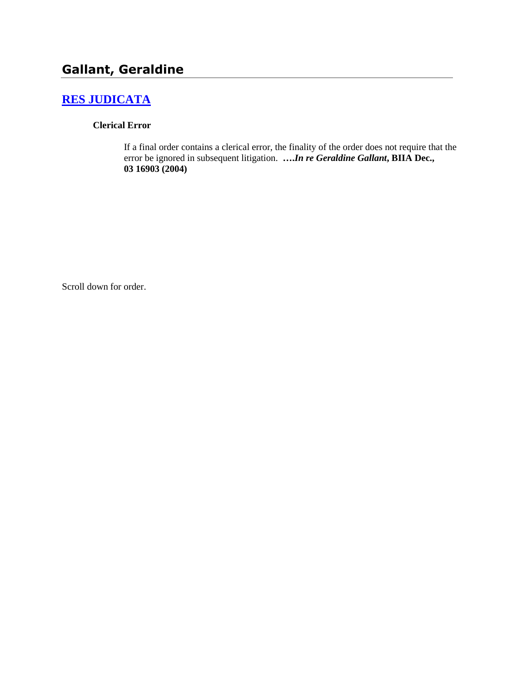# **[RES JUDICATA](http://www.biia.wa.gov/SDSubjectIndex.html#RES_JUDICATA)**

#### **Clerical Error**

If a final order contains a clerical error, the finality of the order does not require that the error be ignored in subsequent litigation. **….***In re Geraldine Gallant***, BIIA Dec., 03 16903 (2004)**

Scroll down for order.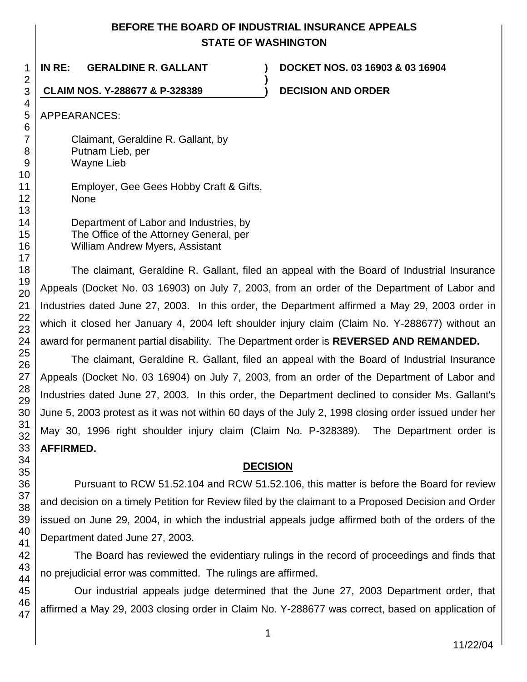## **BEFORE THE BOARD OF INDUSTRIAL INSURANCE APPEALS STATE OF WASHINGTON**

**)**

**IN RE: GERALDINE R. GALLANT ) DOCKET NOS. 03 16903 & 03 16904**

**CLAIM NOS. Y-288677 & P-328389 ) DECISION AND ORDER**

APPEARANCES:

Claimant, Geraldine R. Gallant, by Putnam Lieb, per Wayne Lieb

Employer, Gee Gees Hobby Craft & Gifts, None

Department of Labor and Industries, by The Office of the Attorney General, per William Andrew Myers, Assistant

The claimant, Geraldine R. Gallant, filed an appeal with the Board of Industrial Insurance Appeals (Docket No. 03 16903) on July 7, 2003, from an order of the Department of Labor and Industries dated June 27, 2003. In this order, the Department affirmed a May 29, 2003 order in which it closed her January 4, 2004 left shoulder injury claim (Claim No. Y-288677) without an award for permanent partial disability. The Department order is **REVERSED AND REMANDED.**

The claimant, Geraldine R. Gallant, filed an appeal with the Board of Industrial Insurance Appeals (Docket No. 03 16904) on July 7, 2003, from an order of the Department of Labor and Industries dated June 27, 2003. In this order, the Department declined to consider Ms. Gallant's June 5, 2003 protest as it was not within 60 days of the July 2, 1998 closing order issued under her May 30, 1996 right shoulder injury claim (Claim No. P-328389). The Department order is **AFFIRMED.**

## **DECISION**

Pursuant to RCW 51.52.104 and RCW 51.52.106, this matter is before the Board for review and decision on a timely Petition for Review filed by the claimant to a Proposed Decision and Order issued on June 29, 2004, in which the industrial appeals judge affirmed both of the orders of the Department dated June 27, 2003.

The Board has reviewed the evidentiary rulings in the record of proceedings and finds that no prejudicial error was committed. The rulings are affirmed.

Our industrial appeals judge determined that the June 27, 2003 Department order, that affirmed a May 29, 2003 closing order in Claim No. Y-288677 was correct, based on application of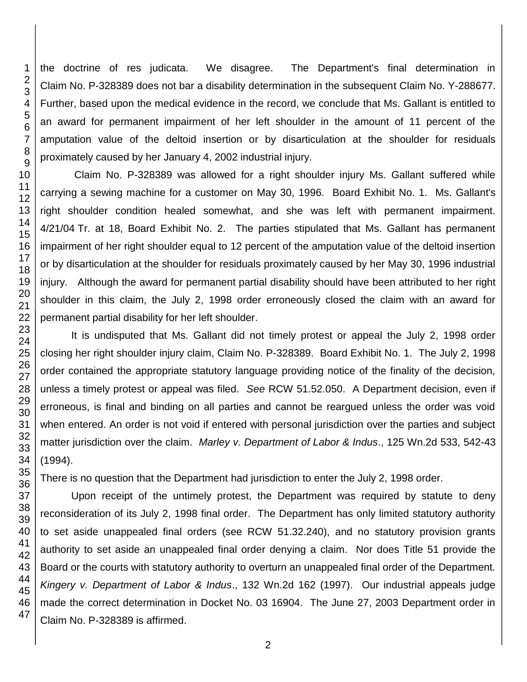the doctrine of res judicata. We disagree. The Department's final determination in Claim No. P-328389 does not bar a disability determination in the subsequent Claim No. Y-288677. Further, based upon the medical evidence in the record, we conclude that Ms. Gallant is entitled to an award for permanent impairment of her left shoulder in the amount of 11 percent of the amputation value of the deltoid insertion or by disarticulation at the shoulder for residuals proximately caused by her January 4, 2002 industrial injury.

Claim No. P-328389 was allowed for a right shoulder injury Ms. Gallant suffered while carrying a sewing machine for a customer on May 30, 1996. Board Exhibit No. 1. Ms. Gallant's right shoulder condition healed somewhat, and she was left with permanent impairment. 4/21/04 Tr. at 18, Board Exhibit No. 2. The parties stipulated that Ms. Gallant has permanent impairment of her right shoulder equal to 12 percent of the amputation value of the deltoid insertion or by disarticulation at the shoulder for residuals proximately caused by her May 30, 1996 industrial injury. Although the award for permanent partial disability should have been attributed to her right shoulder in this claim, the July 2, 1998 order erroneously closed the claim with an award for permanent partial disability for her left shoulder.

It is undisputed that Ms. Gallant did not timely protest or appeal the July 2, 1998 order closing her right shoulder injury claim, Claim No. P-328389. Board Exhibit No. 1. The July 2, 1998 order contained the appropriate statutory language providing notice of the finality of the decision, unless a timely protest or appeal was filed. *See* RCW 51.52.050. A Department decision, even if erroneous, is final and binding on all parties and cannot be reargued unless the order was void when entered. An order is not void if entered with personal jurisdiction over the parties and subject matter jurisdiction over the claim. *Marley v. Department of Labor & Indus*., 125 Wn.2d 533, 542-43 (1994).

There is no question that the Department had jurisdiction to enter the July 2, 1998 order.

Upon receipt of the untimely protest, the Department was required by statute to deny reconsideration of its July 2, 1998 final order. The Department has only limited statutory authority to set aside unappealed final orders (see RCW 51.32.240), and no statutory provision grants authority to set aside an unappealed final order denying a claim. Nor does Title 51 provide the Board or the courts with statutory authority to overturn an unappealed final order of the Department. *Kingery v. Department of Labor & Indus*., 132 Wn.2d 162 (1997). Our industrial appeals judge made the correct determination in Docket No. 03 16904. The June 27, 2003 Department order in Claim No. P-328389 is affirmed.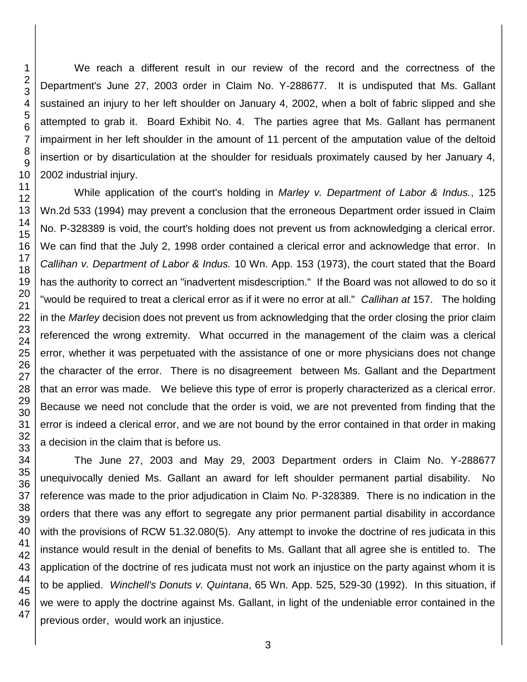We reach a different result in our review of the record and the correctness of the Department's June 27, 2003 order in Claim No. Y-288677. It is undisputed that Ms. Gallant sustained an injury to her left shoulder on January 4, 2002, when a bolt of fabric slipped and she attempted to grab it. Board Exhibit No. 4. The parties agree that Ms. Gallant has permanent impairment in her left shoulder in the amount of 11 percent of the amputation value of the deltoid insertion or by disarticulation at the shoulder for residuals proximately caused by her January 4, 2002 industrial injury.

While application of the court's holding in *Marley v. Department of Labor & Indus.*, 125 Wn.2d 533 (1994) may prevent a conclusion that the erroneous Department order issued in Claim No. P-328389 is void, the court's holding does not prevent us from acknowledging a clerical error. We can find that the July 2, 1998 order contained a clerical error and acknowledge that error. In *Callihan v. Department of Labor & Indus.* 10 Wn. App. 153 (1973), the court stated that the Board has the authority to correct an "inadvertent misdescription." If the Board was not allowed to do so it "would be required to treat a clerical error as if it were no error at all." *Callihan at* 157. The holding in the *Marley* decision does not prevent us from acknowledging that the order closing the prior claim referenced the wrong extremity. What occurred in the management of the claim was a clerical error, whether it was perpetuated with the assistance of one or more physicians does not change the character of the error. There is no disagreement between Ms. Gallant and the Department that an error was made. We believe this type of error is properly characterized as a clerical error. Because we need not conclude that the order is void, we are not prevented from finding that the error is indeed a clerical error, and we are not bound by the error contained in that order in making a decision in the claim that is before us.

The June 27, 2003 and May 29, 2003 Department orders in Claim No. Y-288677 unequivocally denied Ms. Gallant an award for left shoulder permanent partial disability. No reference was made to the prior adjudication in Claim No. P-328389. There is no indication in the orders that there was any effort to segregate any prior permanent partial disability in accordance with the provisions of RCW 51.32.080(5). Any attempt to invoke the doctrine of res judicata in this instance would result in the denial of benefits to Ms. Gallant that all agree she is entitled to. The application of the doctrine of res judicata must not work an injustice on the party against whom it is to be applied. *Winchell's Donuts v. Quintana*, 65 Wn. App. 525, 529-30 (1992). In this situation, if we were to apply the doctrine against Ms. Gallant, in light of the undeniable error contained in the previous order, would work an injustice.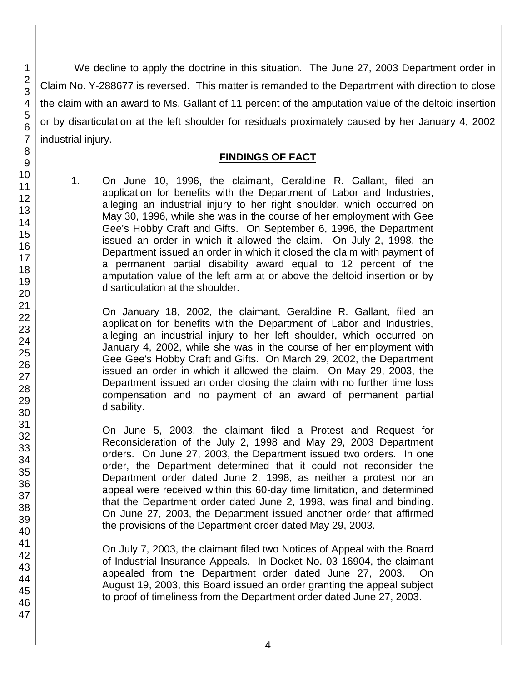We decline to apply the doctrine in this situation. The June 27, 2003 Department order in Claim No. Y-288677 is reversed. This matter is remanded to the Department with direction to close the claim with an award to Ms. Gallant of 11 percent of the amputation value of the deltoid insertion or by disarticulation at the left shoulder for residuals proximately caused by her January 4, 2002 industrial injury.

#### **FINDINGS OF FACT**

1. On June 10, 1996, the claimant, Geraldine R. Gallant, filed an application for benefits with the Department of Labor and Industries, alleging an industrial injury to her right shoulder, which occurred on May 30, 1996, while she was in the course of her employment with Gee Gee's Hobby Craft and Gifts. On September 6, 1996, the Department issued an order in which it allowed the claim. On July 2, 1998, the Department issued an order in which it closed the claim with payment of a permanent partial disability award equal to 12 percent of the amputation value of the left arm at or above the deltoid insertion or by disarticulation at the shoulder.

On January 18, 2002, the claimant, Geraldine R. Gallant, filed an application for benefits with the Department of Labor and Industries, alleging an industrial injury to her left shoulder, which occurred on January 4, 2002, while she was in the course of her employment with Gee Gee's Hobby Craft and Gifts. On March 29, 2002, the Department issued an order in which it allowed the claim. On May 29, 2003, the Department issued an order closing the claim with no further time loss compensation and no payment of an award of permanent partial disability.

On June 5, 2003, the claimant filed a Protest and Request for Reconsideration of the July 2, 1998 and May 29, 2003 Department orders. On June 27, 2003, the Department issued two orders. In one order, the Department determined that it could not reconsider the Department order dated June 2, 1998, as neither a protest nor an appeal were received within this 60-day time limitation, and determined that the Department order dated June 2, 1998, was final and binding. On June 27, 2003, the Department issued another order that affirmed the provisions of the Department order dated May 29, 2003.

On July 7, 2003, the claimant filed two Notices of Appeal with the Board of Industrial Insurance Appeals. In Docket No. 03 16904, the claimant appealed from the Department order dated June 27, 2003. On August 19, 2003, this Board issued an order granting the appeal subject to proof of timeliness from the Department order dated June 27, 2003.

1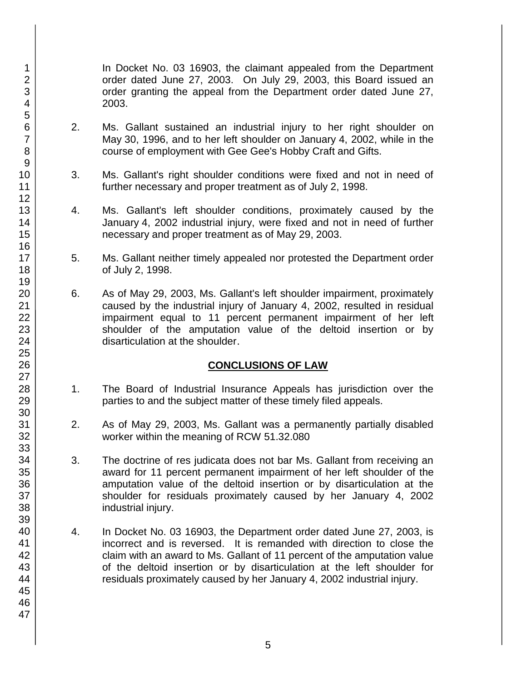In Docket No. 03 16903, the claimant appealed from the Department order dated June 27, 2003. On July 29, 2003, this Board issued an order granting the appeal from the Department order dated June 27, 2003.

- 2. Ms. Gallant sustained an industrial injury to her right shoulder on May 30, 1996, and to her left shoulder on January 4, 2002, while in the course of employment with Gee Gee's Hobby Craft and Gifts.
- 3. Ms. Gallant's right shoulder conditions were fixed and not in need of further necessary and proper treatment as of July 2, 1998.
- 4. Ms. Gallant's left shoulder conditions, proximately caused by the January 4, 2002 industrial injury, were fixed and not in need of further necessary and proper treatment as of May 29, 2003.
- 5. Ms. Gallant neither timely appealed nor protested the Department order of July 2, 1998.
- 6. As of May 29, 2003, Ms. Gallant's left shoulder impairment, proximately caused by the industrial injury of January 4, 2002, resulted in residual impairment equal to 11 percent permanent impairment of her left shoulder of the amputation value of the deltoid insertion or by disarticulation at the shoulder.

## **CONCLUSIONS OF LAW**

- 1. The Board of Industrial Insurance Appeals has jurisdiction over the parties to and the subject matter of these timely filed appeals.
- 2. As of May 29, 2003, Ms. Gallant was a permanently partially disabled worker within the meaning of RCW 51.32.080
- 3. The doctrine of res judicata does not bar Ms. Gallant from receiving an award for 11 percent permanent impairment of her left shoulder of the amputation value of the deltoid insertion or by disarticulation at the shoulder for residuals proximately caused by her January 4, 2002 industrial injury.
- 4. In Docket No. 03 16903, the Department order dated June 27, 2003, is incorrect and is reversed. It is remanded with direction to close the claim with an award to Ms. Gallant of 11 percent of the amputation value of the deltoid insertion or by disarticulation at the left shoulder for residuals proximately caused by her January 4, 2002 industrial injury.